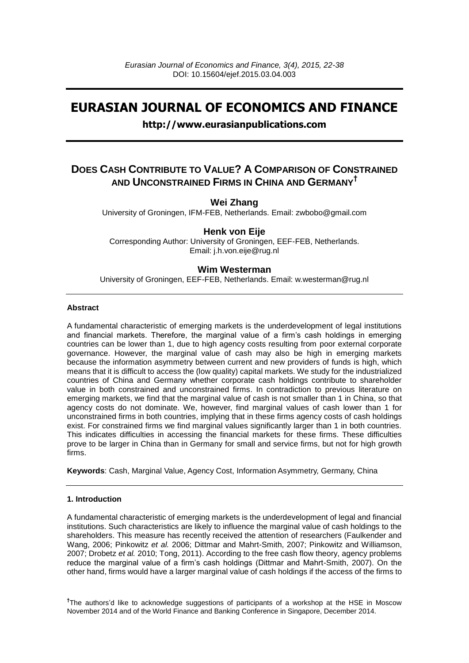# **EURASIAN JOURNAL OF ECONOMICS AND FINANCE**

# **http://www.eurasianpublications.com**

# **DOES CASH CONTRIBUTE TO VALUE? A COMPARISON OF CONSTRAINED AND UNCONSTRAINED FIRMS IN CHINA AND GERMANY†**

# **Wei Zhang**

University of Groningen, IFM-FEB, Netherlands. Email: zwbobo@gmail.com

# **Henk von Eije**

Corresponding Author: University of Groningen, EEF-FEB, Netherlands. Email: j.h.von.eije@rug.nl

# **Wim Westerman**

University of Groningen, EEF-FEB, Netherlands. Email: w.westerman@rug.nl

### **Abstract**

A fundamental characteristic of emerging markets is the underdevelopment of legal institutions and financial markets. Therefore, the marginal value of a firm"s cash holdings in emerging countries can be lower than 1, due to high agency costs resulting from poor external corporate governance. However, the marginal value of cash may also be high in emerging markets because the information asymmetry between current and new providers of funds is high, which means that it is difficult to access the (low quality) capital markets. We study for the industrialized countries of China and Germany whether corporate cash holdings contribute to shareholder value in both constrained and unconstrained firms. In contradiction to previous literature on emerging markets, we find that the marginal value of cash is not smaller than 1 in China, so that agency costs do not dominate. We, however, find marginal values of cash lower than 1 for unconstrained firms in both countries, implying that in these firms agency costs of cash holdings exist. For constrained firms we find marginal values significantly larger than 1 in both countries. This indicates difficulties in accessing the financial markets for these firms. These difficulties prove to be larger in China than in Germany for small and service firms, but not for high growth firms.

**Keywords**: Cash, Marginal Value, Agency Cost, Information Asymmetry, Germany, China

#### **1. Introduction**

A fundamental characteristic of emerging markets is the underdevelopment of legal and financial institutions. Such characteristics are likely to influence the marginal value of cash holdings to the shareholders. This measure has recently received the attention of researchers (Faulkender and Wang, 2006; Pinkowitz *et al.* 2006; Dittmar and Mahrt-Smith, 2007; Pinkowitz and Williamson, 2007; Drobetz *et al.* 2010; Tong, 2011). According to the free cash flow theory, agency problems reduce the marginal value of a firm"s cash holdings (Dittmar and Mahrt-Smith, 2007). On the other hand, firms would have a larger marginal value of cash holdings if the access of the firms to

<sup>†</sup>The authors'd like to acknowledge suggestions of participants of a workshop at the HSE in Moscow November 2014 and of the World Finance and Banking Conference in Singapore, December 2014.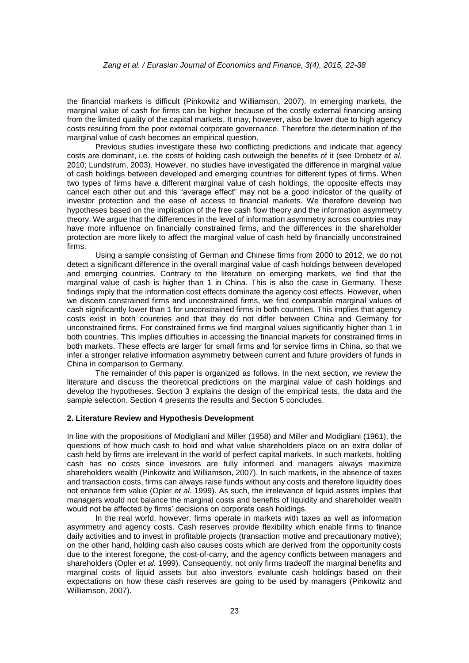the financial markets is difficult (Pinkowitz and Williamson, 2007). In emerging markets, the marginal value of cash for firms can be higher because of the costly external financing arising from the limited quality of the capital markets. It may, however, also be lower due to high agency costs resulting from the poor external corporate governance. Therefore the determination of the marginal value of cash becomes an empirical question.

Previous studies investigate these two conflicting predictions and indicate that agency costs are dominant, i.e. the costs of holding cash outweigh the benefits of it (see Drobetz *et al.* 2010; Lundstrum, 2003). However, no studies have investigated the difference in marginal value of cash holdings between developed and emerging countries for different types of firms. When two types of firms have a different marginal value of cash holdings, the opposite effects may cancel each other out and this "average effect" may not be a good indicator of the quality of investor protection and the ease of access to financial markets. We therefore develop two hypotheses based on the implication of the free cash flow theory and the information asymmetry theory. We argue that the differences in the level of information asymmetry across countries may have more influence on financially constrained firms, and the differences in the shareholder protection are more likely to affect the marginal value of cash held by financially unconstrained firms.

Using a sample consisting of German and Chinese firms from 2000 to 2012, we do not detect a significant difference in the overall marginal value of cash holdings between developed and emerging countries. Contrary to the literature on emerging markets, we find that the marginal value of cash is higher than 1 in China. This is also the case in Germany. These findings imply that the information cost effects dominate the agency cost effects. However, when we discern constrained firms and unconstrained firms, we find comparable marginal values of cash significantly lower than 1 for unconstrained firms in both countries. This implies that agency costs exist in both countries and that they do not differ between China and Germany for unconstrained firms. For constrained firms we find marginal values significantly higher than 1 in both countries. This implies difficulties in accessing the financial markets for constrained firms in both markets. These effects are larger for small firms and for service firms in China, so that we infer a stronger relative information asymmetry between current and future providers of funds in China in comparison to Germany.

The remainder of this paper is organized as follows. In the next section, we review the literature and discuss the theoretical predictions on the marginal value of cash holdings and develop the hypotheses. Section 3 explains the design of the empirical tests, the data and the sample selection. Section 4 presents the results and Section 5 concludes.

### **2. Literature Review and Hypothesis Development**

In line with the propositions of Modigliani and Miller (1958) and Miller and Modigliani (1961), the questions of how much cash to hold and what value shareholders place on an extra dollar of cash held by firms are irrelevant in the world of perfect capital markets. In such markets, holding cash has no costs since investors are fully informed and managers always maximize shareholders wealth (Pinkowitz and Williamson, 2007). In such markets, in the absence of taxes and transaction costs, firms can always raise funds without any costs and therefore liquidity does not enhance firm value (Opler *et al.* 1999). As such, the irrelevance of liquid assets implies that managers would not balance the marginal costs and benefits of liquidity and shareholder wealth would not be affected by firms' decisions on corporate cash holdings.

In the real world, however, firms operate in markets with taxes as well as information asymmetry and agency costs. Cash reserves provide flexibility which enable firms to finance daily activities and to invest in profitable projects (transaction motive and precautionary motive); on the other hand, holding cash also causes costs which are derived from the opportunity costs due to the interest foregone, the cost-of-carry, and the agency conflicts between managers and shareholders (Opler *et al.* 1999). Consequently, not only firms tradeoff the marginal benefits and marginal costs of liquid assets but also investors evaluate cash holdings based on their expectations on how these cash reserves are going to be used by managers (Pinkowitz and Williamson, 2007).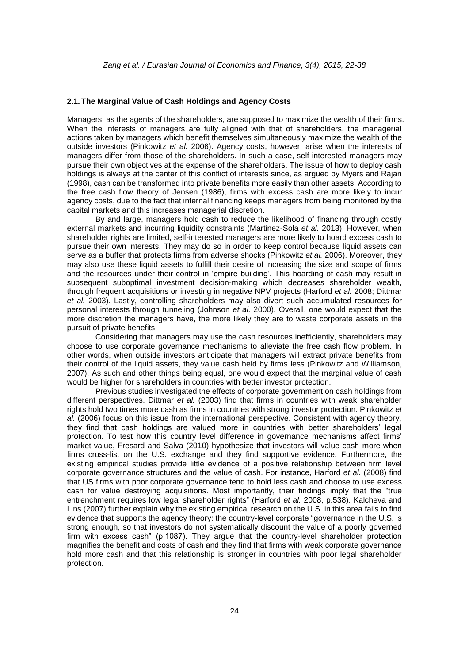#### **2.1.The Marginal Value of Cash Holdings and Agency Costs**

Managers, as the agents of the shareholders, are supposed to maximize the wealth of their firms. When the interests of managers are fully aligned with that of shareholders, the managerial actions taken by managers which benefit themselves simultaneously maximize the wealth of the outside investors (Pinkowitz *et al.* 2006). Agency costs, however, arise when the interests of managers differ from those of the shareholders. In such a case, self-interested managers may pursue their own objectives at the expense of the shareholders. The issue of how to deploy cash holdings is always at the center of this conflict of interests since, as argued by Myers and Rajan (1998), cash can be transformed into private benefits more easily than other assets. According to the free cash flow theory of Jensen (1986), firms with excess cash are more likely to incur agency costs, due to the fact that internal financing keeps managers from being monitored by the capital markets and this increases managerial discretion.

By and large, managers hold cash to reduce the likelihood of financing through costly external markets and incurring liquidity constraints (Martinez-Sola *et al.* 2013). However, when shareholder rights are limited, self-interested managers are more likely to hoard excess cash to pursue their own interests. They may do so in order to keep control because liquid assets can serve as a buffer that protects firms from adverse shocks (Pinkowitz *et al.* 2006). Moreover, they may also use these liquid assets to fulfill their desire of increasing the size and scope of firms and the resources under their control in "empire building". This hoarding of cash may result in subsequent suboptimal investment decision-making which decreases shareholder wealth, through frequent acquisitions or investing in negative NPV projects (Harford *et al.* 2008; Dittmar *et al.* 2003). Lastly, controlling shareholders may also divert such accumulated resources for personal interests through tunneling (Johnson *et al.* 2000). Overall, one would expect that the more discretion the managers have, the more likely they are to waste corporate assets in the pursuit of private benefits.

Considering that managers may use the cash resources inefficiently, shareholders may choose to use corporate governance mechanisms to alleviate the free cash flow problem. In other words, when outside investors anticipate that managers will extract private benefits from their control of the liquid assets, they value cash held by firms less (Pinkowitz and Williamson, 2007). As such and other things being equal, one would expect that the marginal value of cash would be higher for shareholders in countries with better investor protection.

Previous studies investigated the effects of corporate government on cash holdings from different perspectives. Dittmar *et al.* (2003) find that firms in countries with weak shareholder rights hold two times more cash as firms in countries with strong investor protection. Pinkowitz *et al.* (2006) focus on this issue from the international perspective. Consistent with agency theory, they find that cash holdings are valued more in countries with better shareholders" legal protection. To test how this country level difference in governance mechanisms affect firms" market value, Fresard and Salva (2010) hypothesize that investors will value cash more when firms cross-list on the U.S. exchange and they find supportive evidence. Furthermore, the existing empirical studies provide little evidence of a positive relationship between firm level corporate governance structures and the value of cash. For instance, Harford *et al.* (2008) find that US firms with poor corporate governance tend to hold less cash and choose to use excess cash for value destroying acquisitions. Most importantly, their findings imply that the "true entrenchment requires low legal shareholder rights" (Harford *et al.* 2008, p.538). Kalcheva and Lins (2007) further explain why the existing empirical research on the U.S. in this area fails to find evidence that supports the agency theory: the country-level corporate "governance in the U.S. is strong enough, so that investors do not systematically discount the value of a poorly governed firm with excess cash" (p.1087). They argue that the country-level shareholder protection magnifies the benefit and costs of cash and they find that firms with weak corporate governance hold more cash and that this relationship is stronger in countries with poor legal shareholder protection.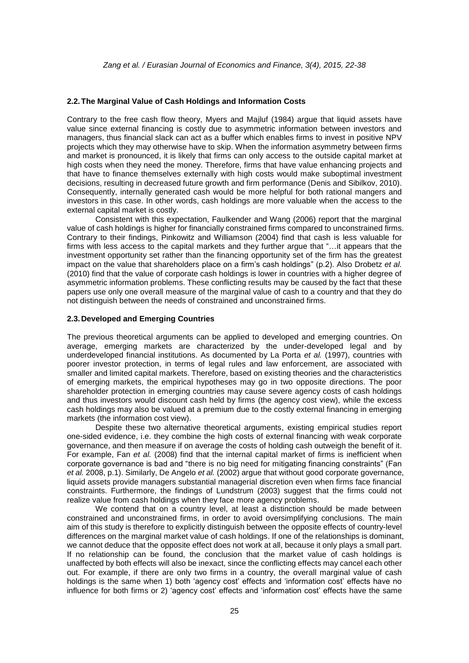### **2.2.The Marginal Value of Cash Holdings and Information Costs**

Contrary to the free cash flow theory, Myers and Majluf (1984) argue that liquid assets have value since external financing is costly due to asymmetric information between investors and managers, thus financial slack can act as a buffer which enables firms to invest in positive NPV projects which they may otherwise have to skip. When the information asymmetry between firms and market is pronounced, it is likely that firms can only access to the outside capital market at high costs when they need the money. Therefore, firms that have value enhancing projects and that have to finance themselves externally with high costs would make suboptimal investment decisions, resulting in decreased future growth and firm performance (Denis and Sibilkov, 2010). Consequently, internally generated cash would be more helpful for both rational mangers and investors in this case. In other words, cash holdings are more valuable when the access to the external capital market is costly.

Consistent with this expectation, Faulkender and Wang (2006) report that the marginal value of cash holdings is higher for financially constrained firms compared to unconstrained firms. Contrary to their findings, Pinkowitz and Williamson (2004) find that cash is less valuable for firms with less access to the capital markets and they further argue that "…it appears that the investment opportunity set rather than the financing opportunity set of the firm has the greatest impact on the value that shareholders place on a firm"s cash holdings" (p.2). Also Drobetz *et al.* (2010) find that the value of corporate cash holdings is lower in countries with a higher degree of asymmetric information problems. These conflicting results may be caused by the fact that these papers use only one overall measure of the marginal value of cash to a country and that they do not distinguish between the needs of constrained and unconstrained firms.

#### **2.3.Developed and Emerging Countries**

The previous theoretical arguments can be applied to developed and emerging countries. On average, emerging markets are characterized by the under-developed legal and by underdeveloped financial institutions. As documented by La Porta *et al.* (1997), countries with poorer investor protection, in terms of legal rules and law enforcement, are associated with smaller and limited capital markets. Therefore, based on existing theories and the characteristics of emerging markets, the empirical hypotheses may go in two opposite directions. The poor shareholder protection in emerging countries may cause severe agency costs of cash holdings and thus investors would discount cash held by firms (the agency cost view), while the excess cash holdings may also be valued at a premium due to the costly external financing in emerging markets (the information cost view).

Despite these two alternative theoretical arguments, existing empirical studies report one-sided evidence, i.e. they combine the high costs of external financing with weak corporate governance, and then measure if on average the costs of holding cash outweigh the benefit of it. For example, Fan *et al.* (2008) find that the internal capital market of firms is inefficient when corporate governance is bad and "there is no big need for mitigating financing constraints" (Fan *et al.* 2008, p.1). Similarly, De Angelo *et al.* (2002) argue that without good corporate governance, liquid assets provide managers substantial managerial discretion even when firms face financial constraints. Furthermore, the findings of Lundstrum (2003) suggest that the firms could not realize value from cash holdings when they face more agency problems.

We contend that on a country level, at least a distinction should be made between constrained and unconstrained firms, in order to avoid oversimplifying conclusions. The main aim of this study is therefore to explicitly distinguish between the opposite effects of country-level differences on the marginal market value of cash holdings. If one of the relationships is dominant, we cannot deduce that the opposite effect does not work at all, because it only plays a small part. If no relationship can be found, the conclusion that the market value of cash holdings is unaffected by both effects will also be inexact, since the conflicting effects may cancel each other out. For example, if there are only two firms in a country, the overall marginal value of cash holdings is the same when 1) both 'agency cost' effects and 'information cost' effects have no influence for both firms or 2) "agency cost" effects and "information cost" effects have the same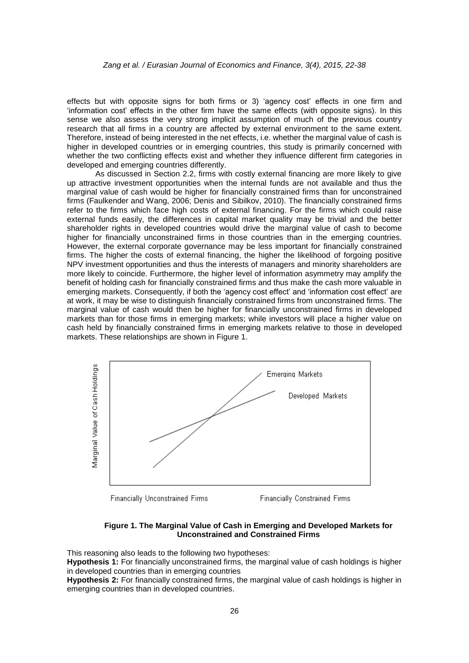effects but with opposite signs for both firms or 3) "agency cost" effects in one firm and "information cost" effects in the other firm have the same effects (with opposite signs). In this sense we also assess the very strong implicit assumption of much of the previous country research that all firms in a country are affected by external environment to the same extent. Therefore, instead of being interested in the net effects, i.e. whether the marginal value of cash is higher in developed countries or in emerging countries, this study is primarily concerned with whether the two conflicting effects exist and whether they influence different firm categories in developed and emerging countries differently.

As discussed in Section 2.2, firms with costly external financing are more likely to give up attractive investment opportunities when the internal funds are not available and thus the marginal value of cash would be higher for financially constrained firms than for unconstrained firms (Faulkender and Wang, 2006; Denis and Sibilkov, 2010). The financially constrained firms refer to the firms which face high costs of external financing. For the firms which could raise external funds easily, the differences in capital market quality may be trivial and the better shareholder rights in developed countries would drive the marginal value of cash to become higher for financially unconstrained firms in those countries than in the emerging countries. However, the external corporate governance may be less important for financially constrained firms. The higher the costs of external financing, the higher the likelihood of forgoing positive NPV investment opportunities and thus the interests of managers and minority shareholders are more likely to coincide. Furthermore, the higher level of information asymmetry may amplify the benefit of holding cash for financially constrained firms and thus make the cash more valuable in emerging markets. Consequently, if both the "agency cost effect" and "information cost effect" are at work, it may be wise to distinguish financially constrained firms from unconstrained firms. The marginal value of cash would then be higher for financially unconstrained firms in developed markets than for those firms in emerging markets; while investors will place a higher value on cash held by financially constrained firms in emerging markets relative to those in developed markets. These relationships are shown in Figure 1.



**Financially Unconstrained Firms** 

**Financially Constrained Firms** 

#### **Figure 1. The Marginal Value of Cash in Emerging and Developed Markets for Unconstrained and Constrained Firms**

This reasoning also leads to the following two hypotheses: **Hypothesis 1:** For financially unconstrained firms, the marginal value of cash holdings is higher in developed countries than in emerging countries **Hypothesis 2:** For financially constrained firms, the marginal value of cash holdings is higher in

emerging countries than in developed countries.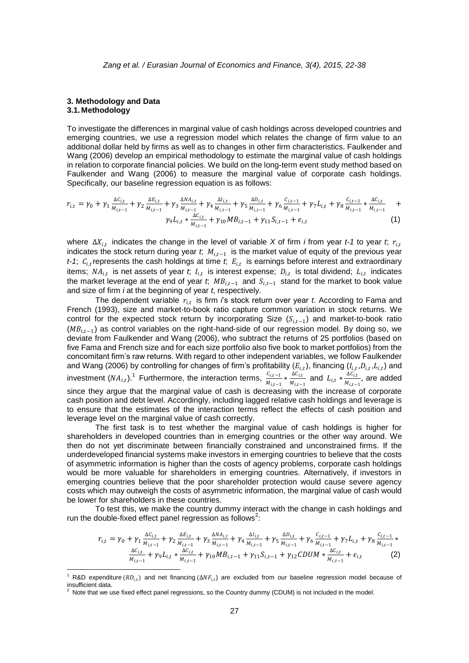#### **3. Methodology and Data 3.1. Methodology**

-

To investigate the differences in marginal value of cash holdings across developed countries and emerging countries, we use a regression model which relates the change of firm value to an additional dollar held by firms as well as to changes in other firm characteristics. Faulkender and Wang (2006) develop an empirical methodology to estimate the marginal value of cash holdings in relation to corporate financial policies. We build on the long-term event study method based on Faulkender and Wang (2006) to measure the marginal value of corporate cash holdings. Specifically, our baseline regression equation is as follows:

$$
r_{i,t} = \gamma_0 + \gamma_1 \frac{\Delta C_{i,t}}{M_{i,t-1}} + \gamma_2 \frac{\Delta E_{i,t}}{M_{i,t-1}} + \gamma_3 \frac{\Delta N A_{i,t}}{M_{i,t-1}} + \gamma_4 \frac{\Delta I_{i,t}}{M_{i,t-1}} + \gamma_5 \frac{\Delta D_{i,t}}{M_{i,t-1}} + \gamma_6 \frac{C_{i,t-1}}{M_{i,t-1}} + \gamma_7 L_{i,t} + \gamma_8 \frac{C_{i,t-1}}{M_{i,t-1}} * \frac{\Delta C_{i,t}}{M_{i,t-1}} + \gamma_9 L_{i,t} * \frac{\Delta C_{i,t}}{M_{i,t-1}} + \gamma_{10} M B_{i,t-1} + \gamma_{11} S_{i,t-1} + \epsilon_{i,t}
$$
\n
$$
(1)
$$

where ∆ $X_{i,t}$  indicates the change in the level of variable X of firm *i* from year *t*-1 to year *t*;  $r_{i,t}$ indicates the stock return during year *t*;  $M_{i,t-1}$  is the market value of equity of the previous year  $t$ -1;  $C_{i,t}$  represents the cash holdings at time  $t$ ,  $E_{i,t}$  is earnings before interest and extraordinary items;  $NA_{i,t}$  is net assets of year *t*;  $I_{i,t}$  is interest expense;  $D_{i,t}$  is total dividend;  $L_{i,t}$  indicates the market leverage at the end of year *t*;  $MB_{i,t-1}$  and  $S_{i,t-1}$  stand for the market to book value and size of firm *i* at the beginning of year *t*, respectively.

The dependent variable  $r_{i,t}$  is firm *i*'s stock return over year *t*. According to Fama and French (1993), size and market-to-book ratio capture common variation in stock returns. We control for the expected stock return by incorporating Size  $(S_{i,t-1})$  and market-to-book ratio  $(MB_{i,t-1})$  as control variables on the right-hand-side of our regression model. By doing so, we deviate from Faulkender and Wang (2006), who subtract the returns of 25 portfolios (based on five Fama and French size and for each size portfolio also five book to market portfolios) from the concomitant firm"s raw returns. With regard to other independent variables, we follow Faulkender and Wang (2006) by controlling for changes of firm's profitability ( $E_{i,t}$ ), financing ( $I_{i,t}, D_{i,t}, L_{i,t}$ ) and investment  $(NA_{i,t})$ .<sup>1</sup> Furthermore, the interaction terms,  $\frac{C_{i,t-1}}{M_{i,t-1}} * \frac{\Delta C_{i,t}}{M_{i,t-1}}$  $\frac{\Delta C_{i,t}}{M_{i,t-1}}$  and  $L_{i,t} * \frac{\Delta C_{i,t}}{M_{i,t-1}}$  $\frac{\Delta C_{i,t}}{M_{i,t-1}}$ , are added since they argue that the marginal value of cash is decreasing with the increase of corporate cash position and debt level. Accordingly, including lagged relative cash holdings and leverage is to ensure that the estimates of the interaction terms reflect the effects of cash position and leverage level on the marginal value of cash correctly.

The first task is to test whether the marginal value of cash holdings is higher for shareholders in developed countries than in emerging countries or the other way around. We then do not yet discriminate between financially constrained and unconstrained firms. If the underdeveloped financial systems make investors in emerging countries to believe that the costs of asymmetric information is higher than the costs of agency problems, corporate cash holdings would be more valuable for shareholders in emerging countries. Alternatively, if investors in emerging countries believe that the poor shareholder protection would cause severe agency costs which may outweigh the costs of asymmetric information, the marginal value of cash would be lower for shareholders in these countries.

To test this, we make the country dummy interact with the change in cash holdings and run the double-fixed effect panel regression as follows<sup>2</sup>:

$$
r_{i,t} = \gamma_0 + \gamma_1 \frac{\Delta C_{i,t}}{M_{i,t-1}} + \gamma_2 \frac{\Delta E_{i,t}}{M_{i,t-1}} + \gamma_3 \frac{\Delta N A_{i,t}}{M_{i,t-1}} + \gamma_4 \frac{\Delta l_{i,t}}{M_{i,t-1}} + \gamma_5 \frac{\Delta D_{i,t}}{M_{i,t-1}} + \gamma_6 \frac{C_{i,t-1}}{M_{i,t-1}} + \gamma_7 L_{i,t} + \gamma_8 \frac{C_{i,t-1}}{M_{i,t-1}} * \frac{\Delta C_{i,t}}{M_{i,t-1}} + \gamma_9 L_{i,t} * \frac{\Delta C_{i,t}}{M_{i,t-1}} + \gamma_{10} M B_{i,t-1} + \gamma_{11} S_{i,t-1} + \gamma_{12} CDUM * \frac{\Delta C_{i,t}}{M_{i,t-1}} + \epsilon_{i,t}
$$
(2)

<sup>&</sup>lt;sup>1</sup> R&D expenditure ( $RD_{i,t}$ ) and net financing ( $\Delta NF_{i,t}$ ) are excluded from our baseline regression model because of insufficient data.

Note that we use fixed effect panel regressions, so the Country dummy (CDUM) is not included in the model.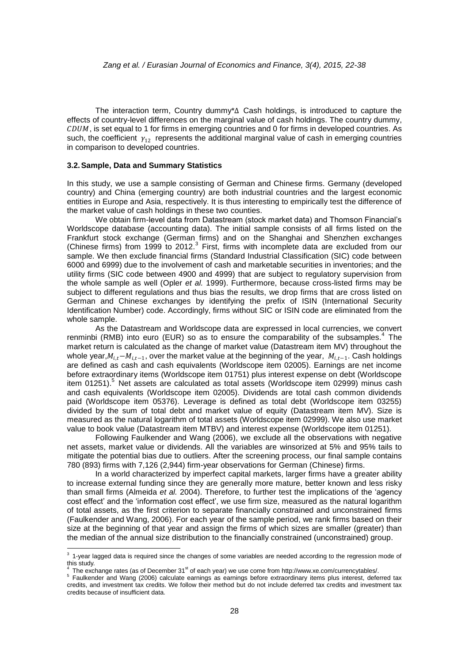The interaction term, Country dummy\*∆ Cash holdings, is introduced to capture the effects of country-level differences on the marginal value of cash holdings. The country dummy,  $CDUM$ , is set equal to 1 for firms in emerging countries and 0 for firms in developed countries. As such, the coefficient  $y_{12}$  represents the additional marginal value of cash in emerging countries in comparison to developed countries.

### **3.2.Sample, Data and Summary Statistics**

In this study, we use a sample consisting of German and Chinese firms. Germany (developed country) and China (emerging country) are both industrial countries and the largest economic entities in Europe and Asia, respectively. It is thus interesting to empirically test the difference of the market value of cash holdings in these two counties.

We obtain firm-level data from Datastream (stock market data) and Thomson Financial"s Worldscope database (accounting data). The initial sample consists of all firms listed on the Frankfurt stock exchange (German firms) and on the Shanghai and Shenzhen exchanges (Chinese firms) from 1999 to 2012. $3$  First, firms with incomplete data are excluded from our sample. We then exclude financial firms (Standard Industrial Classification (SIC) code between 6000 and 6999) due to the involvement of cash and marketable securities in inventories; and the utility firms (SIC code between 4900 and 4999) that are subject to regulatory supervision from the whole sample as well (Opler *et al.* 1999). Furthermore, because cross-listed firms may be subject to different regulations and thus bias the results, we drop firms that are cross listed on German and Chinese exchanges by identifying the prefix of ISIN (International Security Identification Number) code. Accordingly, firms without SIC or ISIN code are eliminated from the whole sample.

As the Datastream and Worldscope data are expressed in local currencies, we convert renminbi (RMB) into euro (EUR) so as to ensure the comparability of the subsamples.<sup>4</sup> The market return is calculated as the change of market value (Datastream item MV) throughout the whole year, $M_{i,t} - M_{i,t-1}$ , over the market value at the beginning of the year,  $M_{i,t-1}$ . Cash holdings are defined as cash and cash equivalents (Worldscope item 02005). Earnings are net income before extraordinary items (Worldscope item 01751) plus interest expense on debt (Worldscope item 01251).<sup>5</sup> Net assets are calculated as total assets (Worldscope item 02999) minus cash and cash equivalents (Worldscope item 02005). Dividends are total cash common dividends paid (Worldscope item 05376). Leverage is defined as total debt (Worldscope item 03255) divided by the sum of total debt and market value of equity (Datastream item MV). Size is measured as the natural logarithm of total assets (Worldscope item 02999). We also use market value to book value (Datastream item MTBV) and interest expense (Worldscope item 01251).

Following Faulkender and Wang (2006), we exclude all the observations with negative net assets, market value or dividends. All the variables are winsorized at 5% and 95% tails to mitigate the potential bias due to outliers. After the screening process, our final sample contains 780 (893) firms with 7,126 (2,944) firm-year observations for German (Chinese) firms.

In a world characterized by imperfect capital markets, larger firms have a greater ability to increase external funding since they are generally more mature, better known and less risky than small firms (Almeida *et al.* 2004). Therefore, to further test the implications of the "agency cost effect" and the "information cost effect", we use firm size, measured as the natural logarithm of total assets, as the first criterion to separate financially constrained and unconstrained firms (Faulkender and Wang, 2006). For each year of the sample period, we rank firms based on their size at the beginning of that year and assign the firms of which sizes are smaller (greater) than the median of the annual size distribution to the financially constrained (unconstrained) group.

 3 1-year lagged data is required since the changes of some variables are needed according to the regression mode of this study.

<sup>4</sup> The exchange rates (as of December  $31^{st}$  of each year) we use come fro[m http://www.xe.com/currencytables/.](http://www.xe.com/currencytables/)

<sup>&</sup>lt;sup>5</sup> Faulkender and Wang (2006) calculate earnings as earnings before extraordinary items plus interest, deferred tax credits, and investment tax credits. We follow their method but do not include deferred tax credits and investment tax credits because of insufficient data.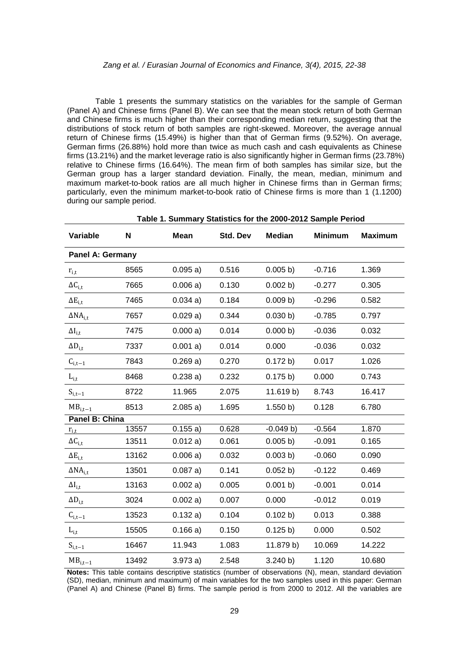### *Zang et al. / Eurasian Journal of Economics and Finance, 3(4), 2015, 22-38*

Table 1 presents the summary statistics on the variables for the sample of German (Panel A) and Chinese firms (Panel B). We can see that the mean stock return of both German and Chinese firms is much higher than their corresponding median return, suggesting that the distributions of stock return of both samples are right-skewed. Moreover, the average annual return of Chinese firms (15.49%) is higher than that of German firms (9.52%). On average, German firms (26.88%) hold more than twice as much cash and cash equivalents as Chinese firms (13.21%) and the market leverage ratio is also significantly higher in German firms (23.78%) relative to Chinese firms (16.64%). The mean firm of both samples has similar size, but the German group has a larger standard deviation. Finally, the mean, median, minimum and maximum market-to-book ratios are all much higher in Chinese firms than in German firms; particularly, even the minimum market-to-book ratio of Chinese firms is more than 1 (1.1200) during our sample period.

| Table 1. Summary Statistics for the 2000-2012 Sample Period |       |             |          |               |                |                |  |  |
|-------------------------------------------------------------|-------|-------------|----------|---------------|----------------|----------------|--|--|
| Variable                                                    | N     | <b>Mean</b> | Std. Dev | <b>Median</b> | <b>Minimum</b> | <b>Maximum</b> |  |  |
| <b>Panel A: Germany</b>                                     |       |             |          |               |                |                |  |  |
| $r_{i,t}$                                                   | 8565  | 0.095a)     | 0.516    | 0.005 b)      | $-0.716$       | 1.369          |  |  |
| $\Delta C_{\rm i,t}$                                        | 7665  | 0.006a)     | 0.130    | 0.002 b)      | $-0.277$       | 0.305          |  |  |
| $\Delta E_{i,t}$                                            | 7465  | 0.034a)     | 0.184    | 0.009 b)      | $-0.296$       | 0.582          |  |  |
| $\Delta NA_{i.t}$                                           | 7657  | 0.029a)     | 0.344    | 0.030 b)      | $-0.785$       | 0.797          |  |  |
| $\Delta I_{i,t}$                                            | 7475  | 0.000 a)    | 0.014    | 0.000 b)      | $-0.036$       | 0.032          |  |  |
| $\Delta D_{i,t}$                                            | 7337  | 0.001 a)    | 0.014    | 0.000         | $-0.036$       | 0.032          |  |  |
| $C_{i,t-1}$                                                 | 7843  | 0.269a)     | 0.270    | 0.172 b)      | 0.017          | 1.026          |  |  |
| $\mathbf{L}_{\mathrm{i},\mathrm{t}}$                        | 8468  | 0.238a)     | 0.232    | 0.175 b)      | 0.000          | 0.743          |  |  |
| $S_{i,t-1}$                                                 | 8722  | 11.965      | 2.075    | 11.619 b)     | 8.743          | 16.417         |  |  |
| $MB_{i,t-1}$                                                | 8513  | 2.085a)     | 1.695    | 1.550 b)      | 0.128          | 6.780          |  |  |
| Panel B: China                                              |       |             |          |               |                |                |  |  |
| $r_{i,t}$                                                   | 13557 | 0.155a)     | 0.628    | $-0.049 b)$   | $-0.564$       | 1.870          |  |  |
| $\Delta C_{i,t}$                                            | 13511 | 0.012a)     | 0.061    | 0.005 b)      | $-0.091$       | 0.165          |  |  |
| $\Delta E_{i,t}$                                            | 13162 | 0.006a)     | 0.032    | 0.003 b)      | $-0.060$       | 0.090          |  |  |
| $\Delta NA_{i.t}$                                           | 13501 | 0.087a)     | 0.141    | 0.052 b)      | $-0.122$       | 0.469          |  |  |
| $\Delta I_{i,t}$                                            | 13163 | 0.002 a)    | 0.005    | 0.001 b)      | $-0.001$       | 0.014          |  |  |
| $\Delta D_{i,t}$                                            | 3024  | 0.002 a)    | 0.007    | 0.000         | $-0.012$       | 0.019          |  |  |
| $C_{i,t-1}$                                                 | 13523 | 0.132a)     | 0.104    | 0.102 b)      | 0.013          | 0.388          |  |  |
| $L_{i,t}$                                                   | 15505 | 0.166a)     | 0.150    | 0.125 b)      | 0.000          | 0.502          |  |  |
| $S_{i,t-1}$                                                 | 16467 | 11.943      | 1.083    | 11.879 b)     | 10.069         | 14.222         |  |  |
| $\mathrm{MB}_{\mathrm{i},\mathrm{t}-1}$                     | 13492 | 3.973a)     | 2.548    | 3.240 b)      | 1.120          | 10.680         |  |  |

**Notes:** This table contains descriptive statistics (number of observations (N), mean, standard deviation (SD), median, minimum and maximum) of main variables for the two samples used in this paper: German (Panel A) and Chinese (Panel B) firms. The sample period is from 2000 to 2012. All the variables are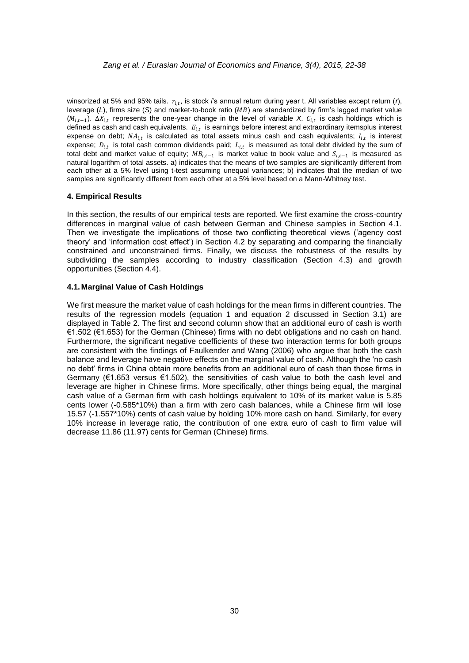winsorized at 5% and 95% tails.  $r_{i,t}$ , is stock *i*'s annual return during year t. All variables except return (*r*), leverage (L), firms size (S) and market-to-book ratio (MB) are standardized by firm's lagged market value  $(M_{i,t-1})$ .  $\Delta X_{i,t}$  represents the one-year change in the level of variable *X*.  $C_{i,t}$  is cash holdings which is defined as cash and cash equivalents.  $E_{i,t}$  is earnings before interest and extraordinary itemsplus interest expense on debt;  $NA_{i,t}$  is calculated as total assets minus cash and cash equivalents;  $I_{i,t}$  is interest expense;  $D_{i,t}$  is total cash common dividends paid;  $L_{i,t}$  is measured as total debt divided by the sum of total debt and market value of equity;  $MB_{i,t-1}$  is market value to book value and  $S_{i,t-1}$  is measured as natural logarithm of total assets. a) indicates that the means of two samples are significantly different from each other at a 5% level using t-test assuming unequal variances; b) indicates that the median of two samples are significantly different from each other at a 5% level based on a Mann-Whitney test.

#### **4. Empirical Results**

In this section, the results of our empirical tests are reported. We first examine the cross-country differences in marginal value of cash between German and Chinese samples in Section 4.1. Then we investigate the implications of those two conflicting theoretical views ('agency cost theory" and "information cost effect") in Section 4.2 by separating and comparing the financially constrained and unconstrained firms. Finally, we discuss the robustness of the results by subdividing the samples according to industry classification (Section 4.3) and growth opportunities (Section 4.4).

#### **4.1. Marginal Value of Cash Holdings**

We first measure the market value of cash holdings for the mean firms in different countries. The results of the regression models (equation 1 and equation 2 discussed in Section 3.1) are displayed in Table 2. The first and second column show that an additional euro of cash is worth €1.502 (€1.653) for the German (Chinese) firms with no debt obligations and no cash on hand. Furthermore, the significant negative coefficients of these two interaction terms for both groups are consistent with the findings of Faulkender and Wang (2006) who argue that both the cash balance and leverage have negative effects on the marginal value of cash. Although the "no cash no debt" firms in China obtain more benefits from an additional euro of cash than those firms in Germany (€1.653 versus €1.502), the sensitivities of cash value to both the cash level and leverage are higher in Chinese firms. More specifically, other things being equal, the marginal cash value of a German firm with cash holdings equivalent to 10% of its market value is 5.85 cents lower (-0.585\*10%) than a firm with zero cash balances, while a Chinese firm will lose 15.57 (-1.557\*10%) cents of cash value by holding 10% more cash on hand. Similarly, for every 10% increase in leverage ratio, the contribution of one extra euro of cash to firm value will decrease 11.86 (11.97) cents for German (Chinese) firms.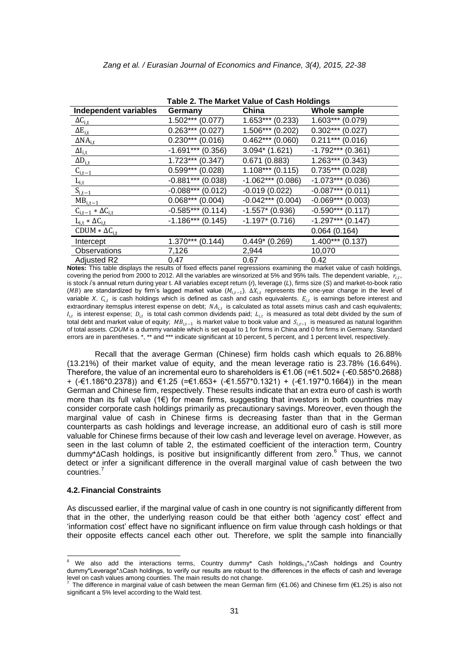|                              | Table 2. The Market Value of Cash Holdings |                       |                     |
|------------------------------|--------------------------------------------|-----------------------|---------------------|
| Independent variables        | Germany                                    | China                 | Whole sample        |
| $\Delta C_{i,t}$             | $1.502***(0.077)$                          | $1.653***$<br>(0.233) | $1.603***(0.079)$   |
| $\Delta E_{i,t}$             | $0.263***(0.027)$                          | $1.506***(0.202)$     | $0.302***$ (0.027)  |
| $\Delta NA$ <sub>i.t</sub>   | $0.230***$ (0.016)                         | $0.462***(0.060)$     | $0.211***$ (0.016)  |
| $\Delta I_{i,t}$             | $-1.691***$ (0.356)                        | $3.094*$ (1.621)      | $-1.792***$ (0.361) |
| $\Delta D_{i,\underline{t}}$ | $1.723***$ (0.347)                         | 0.671(0.883)          | $1.263***$ (0.343)  |
| $C_{i,t-1}$                  | $0.599***$<br>(0.028)                      | $1.108***$ (0.115)    | $0.735***$ (0.028)  |
| $L_{i,t}$                    | $-0.881***$ (0.038)                        | $-1.062***(0.086)$    | $-1.073***$ (0.036) |
| $S_{i,t-1}$                  | $-0.088***(0.012)$                         | $-0.019(0.022)$       | $-0.087***$ (0.011) |
| $MB_{i,t-1}$                 | $0.068***(0.004)$                          | $-0.042***$ (0.004)   | $-0.069***$ (0.003) |
| $C_{i,t-1} * \Delta C_{i,t}$ | $-0.585***(0.114)$                         | $-1.557*$ (0.936)     | $-0.590***$ (0.117) |
| $L_{i,t} * \Delta C_{i,t}$   | $-1.186***(0.145)$                         | $-1.197$ (0.716)      | $-1.297***$ (0.147) |
| CDUM $*\Delta C_{i,t}$       |                                            |                       | 0.064(0.164)        |
| Intercept                    | $1.370***$<br>(0.144)                      | $0.449*(0.269)$       | $1.400***$ (0.137)  |
| Observations                 | 7,126                                      | 2,944                 | 10,070              |
| <b>Adjusted R2</b>           | 0.47                                       | 0.67                  | 0.42                |

**Notes:** This table displays the results of fixed effects panel regressions examining the market value of cash holdings, covering the period from 2000 to 2012. All the variables are winsorized at 5% and 95% tails. The dependent variable,  $r_{i,t}$ , is stock *i*s annual return during year t. All variables except return (*r*), leverage (*L*), firms size (*S*) and market-to-book ratio (MB) are standardized by firm's lagged market value ( $M_{i,t-1}$ ).  $\Delta X_{i,t}$  represents the one-year change in the level of variable *X.*  $c_{i,t}$  is cash holdings which is defined as cash and cash equivalents.  $E_{i,t}$  is earnings before interest and extraordinary itemsplus interest expense on debt;  $NA_{i,t}$  is calculated as total assets minus cash and cash equivalents;  $I_{i,t}$  is interest expense;  $D_{i,t}$  is total cash common dividends paid;  $L_{i,t}$  is measured as total debt divided by the sum of total debt and market value of equity;  $MB_{i,t-1}$  is market value to book value and  $\,_{i,t-1}\,$  is measured as natural logarithm of total assets. *CDUM* is a dummy variable which is set equal to 1 for firms in China and 0 for firms in Germany. Standard errors are in parentheses. \*, \*\* and \*\*\* indicate significant at 10 percent, 5 percent, and 1 percent level, respectively.

Recall that the average German (Chinese) firm holds cash which equals to 26.88% (13.21%) of their market value of equity, and the mean leverage ratio is 23.78% (16.64%). Therefore, the value of an incremental euro to shareholders is €1.06 (=€1.502+ (-€0.585\*0.2688) + (-€1.186\*0.2378)) and €1.25 (=€1.653+ (-€1.557\*0.1321) + (-€1.197\*0.1664)) in the mean German and Chinese firm, respectively. These results indicate that an extra euro of cash is worth more than its full value ( $1 \in$ ) for mean firms, suggesting that investors in both countries may consider corporate cash holdings primarily as precautionary savings. Moreover, even though the marginal value of cash in Chinese firms is decreasing faster than that in the German counterparts as cash holdings and leverage increase, an additional euro of cash is still more valuable for Chinese firms because of their low cash and leverage level on average. However, as seen in the last column of table 2, the estimated coefficient of the interaction term, Country dummy\*∆Cash holdings, is positive but insignificantly different from zero.<sup>6</sup> Thus, we cannot detect or infer a significant difference in the overall marginal value of cash between the two countries.<sup>7</sup>

#### **4.2.Financial Constraints**

-

As discussed earlier, if the marginal value of cash in one country is not significantly different from that in the other, the underlying reason could be that either both "agency cost" effect and "information cost" effect have no significant influence on firm value through cash holdings or that their opposite effects cancel each other out. Therefore, we split the sample into financially

<sup>&</sup>lt;sup>6</sup> We also add the interactions terms, Country dummy\* Cash holdings<sub>t-1</sub>\*∆Cash holdings and Country dummy\*Leverage\*∆Cash holdings, to verify our results are robust to the differences in the effects of cash and leverage level on cash values among counties. The main results do not change. 7

The difference in marginal value of cash between the mean German firm (€1.06) and Chinese firm (€1.25) is also not significant a 5% level according to the Wald test.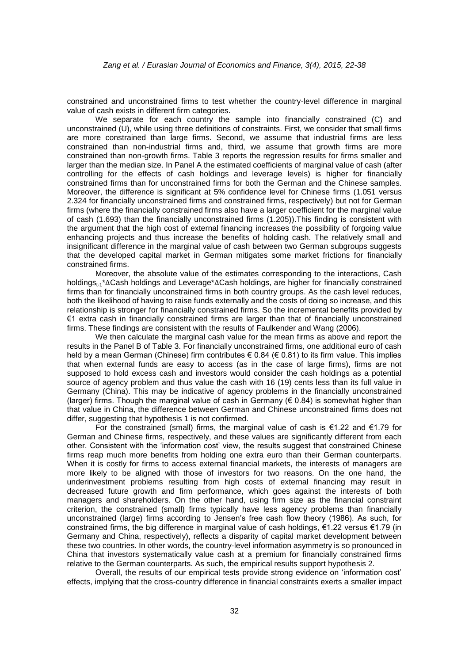constrained and unconstrained firms to test whether the country-level difference in marginal value of cash exists in different firm categories.

We separate for each country the sample into financially constrained (C) and unconstrained (U), while using three definitions of constraints. First, we consider that small firms are more constrained than large firms. Second, we assume that industrial firms are less constrained than non-industrial firms and, third, we assume that growth firms are more constrained than non-growth firms. Table 3 reports the regression results for firms smaller and larger than the median size. In Panel A the estimated coefficients of marginal value of cash (after controlling for the effects of cash holdings and leverage levels) is higher for financially constrained firms than for unconstrained firms for both the German and the Chinese samples. Moreover, the difference is significant at 5% confidence level for Chinese firms (1.051 versus 2.324 for financially unconstrained firms and constrained firms, respectively) but not for German firms (where the financially constrained firms also have a larger coefficient for the marginal value of cash (1.693) than the financially unconstrained firms (1.205)).This finding is consistent with the argument that the high cost of external financing increases the possibility of forgoing value enhancing projects and thus increase the benefits of holding cash. The relatively small and insignificant difference in the marginal value of cash between two German subgroups suggests that the developed capital market in German mitigates some market frictions for financially constrained firms.

Moreover, the absolute value of the estimates corresponding to the interactions, Cash holdings<sub>t-1</sub>\*∆Cash holdings and Leverage\*∆Cash holdings, are higher for financially constrained firms than for financially unconstrained firms in both country groups. As the cash level reduces, both the likelihood of having to raise funds externally and the costs of doing so increase, and this relationship is stronger for financially constrained firms. So the incremental benefits provided by €1 extra cash in financially constrained firms are larger than that of financially unconstrained firms. These findings are consistent with the results of Faulkender and Wang (2006).

We then calculate the marginal cash value for the mean firms as above and report the results in the Panel B of Table 3. For financially unconstrained firms, one additional euro of cash held by a mean German (Chinese) firm contributes € 0.84 (€ 0.81) to its firm value. This implies that when external funds are easy to access (as in the case of large firms), firms are not supposed to hold excess cash and investors would consider the cash holdings as a potential source of agency problem and thus value the cash with 16 (19) cents less than its full value in Germany (China). This may be indicative of agency problems in the financially unconstrained (larger) firms. Though the marginal value of cash in Germany ( $\epsilon$  0.84) is somewhat higher than that value in China, the difference between German and Chinese unconstrained firms does not differ, suggesting that hypothesis 1 is not confirmed.

For the constrained (small) firms, the marginal value of cash is  $\epsilon$ 1.22 and  $\epsilon$ 1.79 for German and Chinese firms, respectively, and these values are significantly different from each other. Consistent with the "information cost" view, the results suggest that constrained Chinese firms reap much more benefits from holding one extra euro than their German counterparts. When it is costly for firms to access external financial markets, the interests of managers are more likely to be aligned with those of investors for two reasons. On the one hand, the underinvestment problems resulting from high costs of external financing may result in decreased future growth and firm performance, which goes against the interests of both managers and shareholders. On the other hand, using firm size as the financial constraint criterion, the constrained (small) firms typically have less agency problems than financially unconstrained (large) firms according to Jensen"s free cash flow theory (1986). As such, for constrained firms, the big difference in marginal value of cash holdings, €1.22 versus €1.79 (in Germany and China, respectively), reflects a disparity of capital market development between these two countries. In other words, the country-level information asymmetry is so pronounced in China that investors systematically value cash at a premium for financially constrained firms relative to the German counterparts. As such, the empirical results support hypothesis 2.

Overall, the results of our empirical tests provide strong evidence on "information cost" effects, implying that the cross-country difference in financial constraints exerts a smaller impact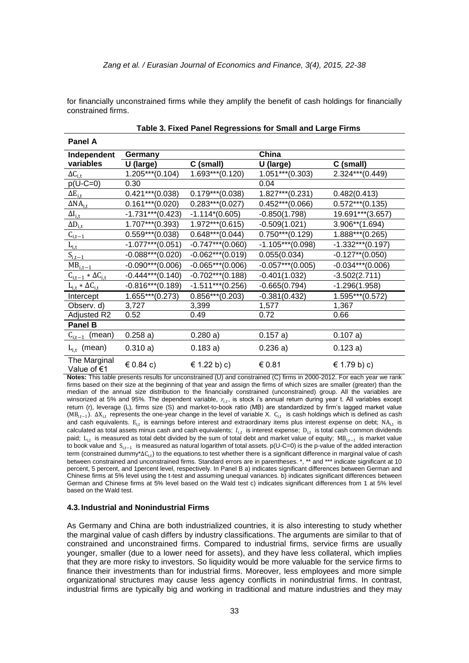for financially unconstrained firms while they amplify the benefit of cash holdings for financially constrained firms.

| Panel A                       |                     |                     |                     |                    |
|-------------------------------|---------------------|---------------------|---------------------|--------------------|
| Independent                   | Germany             |                     | China               |                    |
| variables                     | U (large)           | C (small)           | U (large)           | C (small)          |
| $\Delta C_{i,t}$              | $1.205***(0.104)$   | $1.693***(0.120)$   | $1.051***$ (0.303)  | $2.324***$ (0.449) |
| $p(U-C=0)$                    | 0.30                |                     | 0.04                |                    |
| $\Delta E_{i,t}$              | $0.421***$ (0.038)  | $0.179***$ (0.038)  | $1.827***$ (0.231)  | 0.482(0.413)       |
| $\Delta NA_{i,t}$             | $0.161***$ (0.020)  | $0.283***(0.027)$   | $0.452***(0.066)$   | $0.572***(0.135)$  |
| $\Delta I_{i,t}$              | $-1.731***$ (0.423) | $-1.114*(0.605)$    | $-0.850(1.798)$     | 19.691***(3.657)   |
| $\Delta D_{i,t}$              | $1.707***$ (0.393)  | $1.972***$ (0.615)  | $-0.509(1.021)$     | $3.906**$ (1.694)  |
| $C_{i,t-1}$                   | $0.559***(0.038)$   | $0.648***(0.044)$   | $0.750***$ (0.129)  | $1.888***(0.265)$  |
| $\underline{L_{i,t}}$         | $-1.077***$ (0.051) | $-0.747***$ (0.060) | $-1.105***$ (0.098) | $-1.332***(0.197)$ |
| $S_{i,t-1}$                   | $-0.088***(0.020)$  | $-0.062***(0.019)$  | 0.055(0.034)        | $-0.127**$ (0.050) |
| $MB_{i,t-1}$                  | $-0.090***(0.006)$  | $-0.065***(0.006)$  | $-0.057***$ (0.005) | $-0.034***(0.006)$ |
| $C_{i,t-1} * \Delta C_{i,t}$  | $-0.444***$ (0.140) | $-0.702***$ (0.188) | $-0.401(1.032)$     | $-3.502(2.711)$    |
| $L_{i,t} * \Delta C_{i,t}$    | $-0.816***$ (0.189) | $-1.511***$ (0.256) | $-0.665(0.794)$     | $-1.296(1.958)$    |
| Intercept                     | $1.655***(0.273)$   | $0.856***(0.203)$   | $-0.381(0.432)$     | 1.595***(0.572)    |
| Observ. d)                    | 3,727               | 3,399               | 1,577               | 1,367              |
| Adjusted R2                   | 0.52                | 0.49                | 0.72                | 0.66               |
| <b>Panel B</b>                |                     |                     |                     |                    |
| $C_{i,t-1}$ (mean)            | 0.258a)             | 0.280a)             | 0.157a)             | 0.107 a)           |
| $L_{i,t}$ (mean)              | 0.310a)             | 0.183a)             | 0.236a)             | 0.123a)            |
| The Marginal<br>Value of $€1$ | $\in$ 0.84 c)       | € 1.22 b) c)        | € 0.81              | € 1.79 b) c)       |

| Table 3. Fixed Panel Regressions for Small and Large Firms |  |  |
|------------------------------------------------------------|--|--|
|                                                            |  |  |

**Notes:** This table presents results for unconstrained (U) and constrained (C) firms in 2000-2012. For each year we rank firms based on their size at the beginning of that year and assign the firms of which sizes are smaller (greater) than the median of the annual size distribution to the financially constrained (unconstrained) group. All the variables are winsorized at 5% and 95%. The dependent variable,  $r_{i,t}$ , is stock i's annual return during year t. All variables except return (r), leverage (L), firms size (S) and market-to-book ratio (MB) are standardized by firm"s lagged market value (MB<sub>i,t−1</sub>).  $\Delta X_{i,t}$  represents the one-year change in the level of variable X. C<sub>i,t</sub> is cash holdings which is defined as cash and cash equivalents.  $E_{i,t}$  is earnings before interest and extraordinary items plus interest expense on debt;  $NA_{i,t}$  is calculated as total assets minus cash and cash equivalents;  $l_{i,t}$  is interest expense;  $D_{i,t}$  is total cash common dividends paid; L<sub>i,t</sub> is measured as total debt divided by the sum of total debt and market value of equity; MB<sub>i,t−1</sub> is market value to book value and S<sub>i,t−1</sub> is measured as natural logarithm of total assets. p(U-C=0) is the p-value of the added interaction term (constrained dummy\*ΔC<sub>i,t</sub>) to the equations.to test whether there is a significant difference in marginal value of cash between constrained and unconstrained firms. Standard errors are in parentheses. \*, \*\* and \*\*\* indicate significant at 10 percent, 5 percent, and 1percent level, respectively. In Panel B a) indicates significant differences between German and Chinese firms at 5% level using the t-test and assuming unequal variances. b) indicates significant differences between German and Chinese firms at 5% level based on the Wald test c) indicates significant differences from 1 at 5% level based on the Wald test.

#### **4.3. Industrial and Nonindustrial Firms**

As Germany and China are both industrialized countries, it is also interesting to study whether the marginal value of cash differs by industry classifications. The arguments are similar to that of constrained and unconstrained firms. Compared to industrial firms, service firms are usually younger, smaller (due to a lower need for assets), and they have less collateral, which implies that they are more risky to investors. So liquidity would be more valuable for the service firms to finance their investments than for industrial firms. Moreover, less employees and more simple organizational structures may cause less agency conflicts in nonindustrial firms. In contrast, industrial firms are typically big and working in traditional and mature industries and they may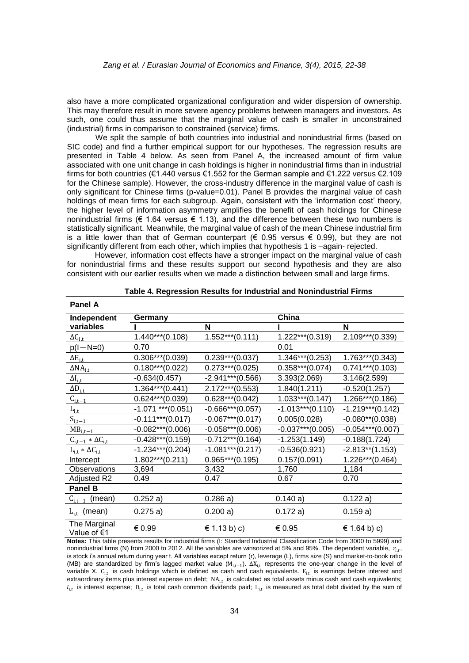also have a more complicated organizational configuration and wider dispersion of ownership. This may therefore result in more severe agency problems between managers and investors. As such, one could thus assume that the marginal value of cash is smaller in unconstrained (industrial) firms in comparison to constrained (service) firms.

We split the sample of both countries into industrial and nonindustrial firms (based on SIC code) and find a further empirical support for our hypotheses. The regression results are presented in Table 4 below. As seen from Panel A, the increased amount of firm value associated with one unit change in cash holdings is higher in nonindustrial firms than in industrial firms for both countries (€1.440 versus €1.552 for the German sample and €1.222 versus €2.109 for the Chinese sample). However, the cross-industry difference in the marginal value of cash is only significant for Chinese firms (p-value=0.01). Panel B provides the marginal value of cash holdings of mean firms for each subgroup. Again, consistent with the 'information cost' theory, the higher level of information asymmetry amplifies the benefit of cash holdings for Chinese nonindustrial firms ( $\epsilon$  1.64 versus  $\epsilon$  1.13), and the difference between these two numbers is statistically significant. Meanwhile, the marginal value of cash of the mean Chinese industrial firm is a little lower than that of German counterpart ( $\epsilon$  0.95 versus  $\epsilon$  0.99), but they are not significantly different from each other, which implies that hypothesis 1 is –again- rejected.

However, information cost effects have a stronger impact on the marginal value of cash for nonindustrial firms and these results support our second hypothesis and they are also consistent with our earlier results when we made a distinction between small and large firms.

| <b>Panel A</b>               |                        |                     |                     |                     |
|------------------------------|------------------------|---------------------|---------------------|---------------------|
| Independent                  | Germany                |                     | China               |                     |
| variables                    |                        | N                   |                     | N                   |
| $\Delta C_{i,t}$             | $1.440***$ (0.108)     | $1.552***(0.111)$   | 1.222***(0.319)     | $2.109***$ (0.339)  |
| $p(l-N=0)$                   | 0.70                   |                     | 0.01                |                     |
| $\Delta E_{i,t}$             | $0.306***(0.039)$      | $0.239***(0.037)$   | $1.346***(0.253)$   | $1.763***(0.343)$   |
| $\Delta NA_{i,t}$            | $0.180***(0.022)$      | $0.273***(0.025)$   | $0.358***(0.074)$   | $0.741***$ (0.103)  |
| $\Delta I_{i,t}$             | $-0.634(0.457)$        | $-2.941***$ (0.566) | 3.393(2.069)        | 3.146(2.599)        |
| $\Delta D_{i,t}$             | $1.364***(0.441)$      | $2.172***$ (0.553)  | 1.840(1.211)        | $-0.520(1.257)$     |
| $C_{i,t-1}$                  | $0.624***(0.039)$      | $0.628***(0.042)$   | $1.033***(0.147)$   | $1.266***(0.186)$   |
| $L_{i,t}$                    | $-1.071$ *** $(0.051)$ | $-0.666***(0.057)$  | $-1.013***$ (0.110) | $-1.219***$ (0.142) |
| $S_{i,t-1}$                  | $-0.111***$ (0.017)    | $-0.067***(0.017)$  | 0.005(0.028)        | $-0.080**$ (0.038)  |
| $MB_{i,t-1}$                 | $-0.082***(0.006)$     | $-0.058***(0.006)$  | $-0.037***$ (0.005) | $-0.054***(0.007)$  |
| $C_{i,t-1} * \Delta C_{i,t}$ | $-0.428***$ (0.159)    | $-0.712***$ (0.164) | $-1.253(1.149)$     | $-0.188(1.724)$     |
| $L_{i,t} * \Delta C_{i,t}$   | $-1.234***$ (0.204)    | $-1.081***$ (0.217) | $-0.536(0.921)$     | $-2.813**$ (1.153)  |
| Intercept                    | $1.802***(0.211)$      | $0.965***(0.195)$   | 0.157(0.091)        | $1.226***(0.464)$   |
| Observations                 | 3,694                  | 3,432               | 1,760               | 1,184               |
| Adjusted R2                  | 0.49                   | 0.47                | 0.67                | 0.70                |
| <b>Panel B</b>               |                        |                     |                     |                     |
| $C_{i,t-1}$ (mean)           | 0.252a)                | 0.286a)             | 0.140a)             | 0.122a)             |
| $L_{i.t}$ (mean)             | 0.275a)                | 0.200 a)            | 0.172a)             | 0.159a)             |
| The Marginal<br>Value of €1  | € 0.99                 | € 1.13 b) c)        | € 0.95              | € 1.64 b) c)        |

| Table 4. Regression Results for Industrial and Nonindustrial Firms |  |  |
|--------------------------------------------------------------------|--|--|
|--------------------------------------------------------------------|--|--|

**Notes:** This table presents results for industrial firms (I: Standard Industrial Classification Code from 3000 to 5999) and nonindustrial firms (N) from 2000 to 2012. All the variables are winsorized at 5% and 95%. The dependent variable,  $r_{i,t}$ , is stock i's annual return during year t. All variables except return (r), leverage (L), firms size (S) and market-to-book ratio (MB) are standardized by firm's lagged market value ( $M_{i,t-1}$ ).  $\Delta X_{i,t}$  represents the one-year change in the level of variable X.  $C_{i,t}$  is cash holdings which is defined as cash and cash equivalents.  $E_{i,t}$  is earnings before interest and extraordinary items plus interest expense on debt;  $NA_{i,t}$  is calculated as total assets minus cash and cash equivalents;  $l_{i,t}$  is interest expense;  $D_{i,t}$  is total cash common dividends paid;  $L_{i,t}$  is measured as total debt divided by the sum of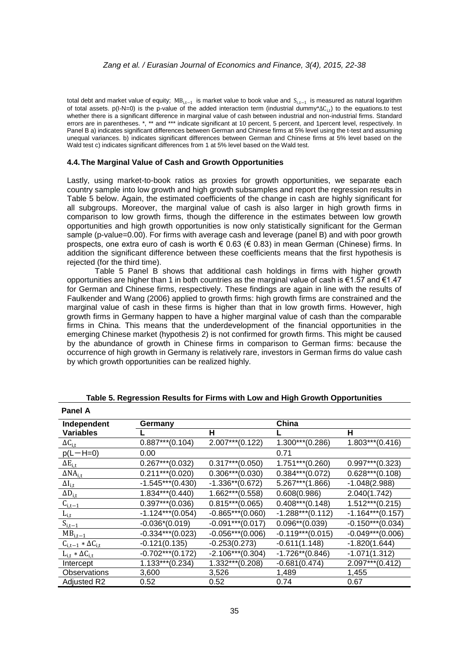total debt and market value of equity; MB $_{\rm i,t-1}$  is market value to book value and  $\,\rm S_{i,t-1}\,$  is measured as natural logarithm of total assets.  $p(I-N=0)$  is the p-value of the added interaction term (industrial dummy\* $\Delta C_{i,t}$ ) to the equations.to test whether there is a significant difference in marginal value of cash between industrial and non-industrial firms. Standard errors are in parentheses. \*, \*\* and \*\*\* indicate significant at 10 percent, 5 percent, and 1 percent level, respectively. In Panel B a) indicates significant differences between German and Chinese firms at 5% level using the t-test and assuming unequal variances. b) indicates significant differences between German and Chinese firms at 5% level based on the Wald test c) indicates significant differences from 1 at 5% level based on the Wald test.

#### **4.4.The Marginal Value of Cash and Growth Opportunities**

Lastly, using market-to-book ratios as proxies for growth opportunities, we separate each country sample into low growth and high growth subsamples and report the regression results in Table 5 below. Again, the estimated coefficients of the change in cash are highly significant for all subgroups. Moreover, the marginal value of cash is also larger in high growth firms in comparison to low growth firms, though the difference in the estimates between low growth opportunities and high growth opportunities is now only statistically significant for the German sample (p-value=0.00). For firms with average cash and leverage (panel B) and with poor growth prospects, one extra euro of cash is worth € 0.63 (€ 0.83) in mean German (Chinese) firms. In addition the significant difference between these coefficients means that the first hypothesis is rejected (for the third time).

Table 5 Panel B shows that additional cash holdings in firms with higher growth opportunities are higher than 1 in both countries as the marginal value of cash is  $\epsilon$ 1.57 and  $\epsilon$ 1.47 for German and Chinese firms, respectively. These findings are again in line with the results of Faulkender and Wang (2006) applied to growth firms: high growth firms are constrained and the marginal value of cash in these firms is higher than that in low growth firms. However, high growth firms in Germany happen to have a higher marginal value of cash than the comparable firms in China. This means that the underdevelopment of the financial opportunities in the emerging Chinese market (hypothesis 2) is not confirmed for growth firms. This might be caused by the abundance of growth in Chinese firms in comparison to German firms: because the occurrence of high growth in Germany is relatively rare, investors in German firms do value cash by which growth opportunities can be realized highly.

| <b>Panel A</b>               |                     |                     |                     |                     |
|------------------------------|---------------------|---------------------|---------------------|---------------------|
| Independent                  | Germany             |                     | China               |                     |
| <b>Variables</b>             |                     | н                   |                     | н                   |
| $\Delta C_{i,t}$             | $0.887***$ (0.104)  | $2.007***$ (0.122)  | $1.300***$ (0.286)  | $1.803***(0.416)$   |
| $p(L-H=0)$                   | 0.00                |                     | 0.71                |                     |
| $\Delta E_{i,t}$             | $0.267***(0.032)$   | $0.317***$ (0.050)  | $1.751***$ (0.260)  | $0.997***$ (0.323)  |
| $\Delta NA_{i,t}$            | $0.211***$ (0.020)  | $0.306***(0.030)$   | $0.384***(0.072)$   | $0.628***(0.108)$   |
| $\Delta I_{i,t}$             | $-1.545***(0.430)$  | $-1.336**$ (0.672)  | $5.267***$ (1.866)  | $-1.048(2.988)$     |
| $\Delta D_{i,t}$             | $1.834***$ (0.440)  | $1.662***(0.558)$   | 0.608(0.986)        | 2.040(1.742)        |
| $C_{i,t-1}$                  | $0.397***$ (0.036)  | $0.815***(0.065)$   | $0.408***(0.148)$   | $1.512***$ (0.215)  |
| $L_{i,t}$                    | $-1.124***$ (0.054) | $-0.865***(0.060)$  | $-1.288***(0.112)$  | $-1.164***$ (0.157) |
| $S_{i,t-1}$                  | $-0.036*(0.019)$    | $-0.091***$ (0.017) | $0.096**$ (0.039)   | $-0.150***$ (0.034) |
| $MB_{i,t-1}$                 | $-0.334***(0.023)$  | $-0.056***(0.006)$  | $-0.119***$ (0.015) | $-0.049***(0.006)$  |
| $C_{i,t-1} * \Delta C_{i,t}$ | $-0.121(0.135)$     | $-0.253(0.273)$     | $-0.611(1.148)$     | $-1.820(1.644)$     |
| $L_{i,t} * \Delta C_{i,t}$   | $-0.702***$ (0.172) | $-2.106***(0.304)$  | $-1.726**$ (0.846)  | $-1.071(1.312)$     |
| Intercept                    | 1.133***(0.234)     | $1.332***(0.208)$   | $-0.681(0.474)$     | $2.097***$ (0.412)  |
| Observations                 | 3,600               | 3,526               | 1,489               | 1,455               |
| Adjusted R2                  | 0.52                | 0.52                | 0.74                | 0.67                |

**Table 5. Regression Results for Firms with Low and High Growth Opportunities**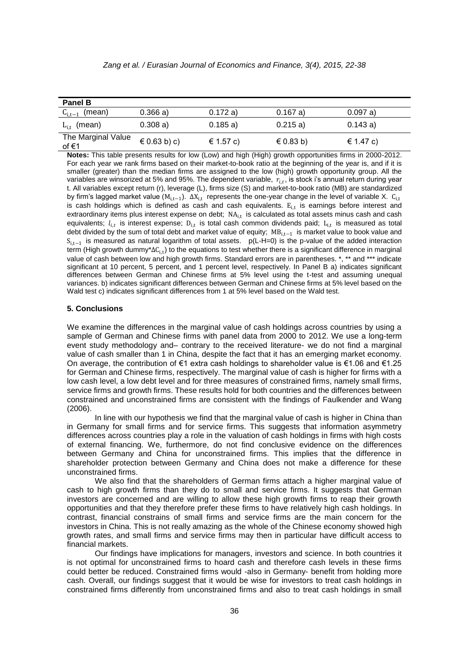|  |  |  |  | Zang et al. / Eurasian Journal of Economics and Finance, 3(4), 2015, 22-38 |  |  |  |  |
|--|--|--|--|----------------------------------------------------------------------------|--|--|--|--|
|--|--|--|--|----------------------------------------------------------------------------|--|--|--|--|

| <b>Panel B</b>                |                  |           |            |               |  |
|-------------------------------|------------------|-----------|------------|---------------|--|
| $C_{i,t-1}$ (mean)            | 0.366a)          | 0.172a)   | $0.167$ a) | 0.097a)       |  |
| $L_{i.t}$ (mean)              | 0.308a)          | 0.185a)   | 0.215a)    | 0.143a)       |  |
| The Marginal Value<br>of $61$ | $\in$ 0.63 b) c) | € 1.57 c) | € 0.83 b)  | $\in$ 1.47 c) |  |

**Notes:** This table presents results for low (Low) and high (High) growth opportunities firms in 2000-2012. For each year we rank firms based on their market-to-book ratio at the beginning of the year is, and if it is smaller (greater) than the median firms are assigned to the low (high) growth opportunity group. All the variables are winsorized at 5% and 95%. The dependent variable,  $r_{i,t}$ , is stock i's annual return during year t. All variables except return (r), leverage (L), firms size (S) and market-to-book ratio (MB) are standardized by firm's lagged market value ( $M_{i,t-1}$ ).  $\Delta X_{i,t}$  represents the one-year change in the level of variable X. C<sub>i,t</sub> is cash holdings which is defined as cash and cash equivalents.  $E_{i,t}$  is earnings before interest and extraordinary items plus interest expense on debt;  $NA_{i,t}$  is calculated as total assets minus cash and cash equivalents;  $l_{i,t}$  is interest expense;  $D_{i,t}$  is total cash common dividends paid;  $L_{i,t}$  is measured as total debt divided by the sum of total debt and market value of equity; MB<sub>i,t−1</sub> is market value to book value and S<sub>i,t−1</sub> is measured as natural logarithm of total assets. p(L-H=0) is the p-value of the added interaction term (High growth dummy\*∆C<sub>i,t</sub>) to the equations to test whether there is a significant difference in marginal value of cash between low and high growth firms. Standard errors are in parentheses. \*, \*\* and \*\*\* indicate significant at 10 percent, 5 percent, and 1 percent level, respectively. In Panel B a) indicates significant differences between German and Chinese firms at 5% level using the t-test and assuming unequal variances. b) indicates significant differences between German and Chinese firms at 5% level based on the Wald test c) indicates significant differences from 1 at 5% level based on the Wald test.

#### **5. Conclusions**

We examine the differences in the marginal value of cash holdings across countries by using a sample of German and Chinese firms with panel data from 2000 to 2012. We use a long-term event study methodology and– contrary to the received literature- we do not find a marginal value of cash smaller than 1 in China, despite the fact that it has an emerging market economy. On average, the contribution of €1 extra cash holdings to shareholder value is €1.06 and €1.25 for German and Chinese firms, respectively. The marginal value of cash is higher for firms with a low cash level, a low debt level and for three measures of constrained firms, namely small firms, service firms and growth firms. These results hold for both countries and the differences between constrained and unconstrained firms are consistent with the findings of Faulkender and Wang (2006).

In line with our hypothesis we find that the marginal value of cash is higher in China than in Germany for small firms and for service firms. This suggests that information asymmetry differences across countries play a role in the valuation of cash holdings in firms with high costs of external financing. We, furthermore, do not find conclusive evidence on the differences between Germany and China for unconstrained firms. This implies that the difference in shareholder protection between Germany and China does not make a difference for these unconstrained firms.

We also find that the shareholders of German firms attach a higher marginal value of cash to high growth firms than they do to small and service firms. It suggests that German investors are concerned and are willing to allow these high growth firms to reap their growth opportunities and that they therefore prefer these firms to have relatively high cash holdings. In contrast, financial constrains of small firms and service firms are the main concern for the investors in China. This is not really amazing as the whole of the Chinese economy showed high growth rates, and small firms and service firms may then in particular have difficult access to financial markets.

Our findings have implications for managers, investors and science. In both countries it is not optimal for unconstrained firms to hoard cash and therefore cash levels in these firms could better be reduced. Constrained firms would -also in Germany- benefit from holding more cash. Overall, our findings suggest that it would be wise for investors to treat cash holdings in constrained firms differently from unconstrained firms and also to treat cash holdings in small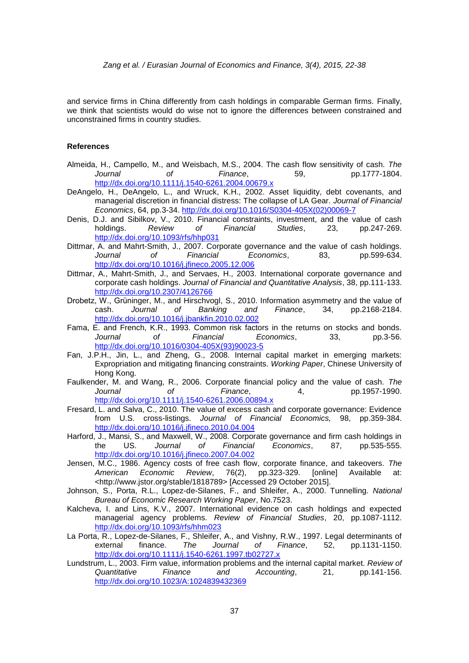and service firms in China differently from cash holdings in comparable German firms. Finally, we think that scientists would do wise not to ignore the differences between constrained and unconstrained firms in country studies.

#### **References**

- Almeida, H., Campello, M., and Weisbach, M.S., 2004. The cash flow sensitivity of cash. *The Journal of Finance*, 59, pp.1777-1804. <http://dx.doi.org/10.1111/j.1540-6261.2004.00679.x>
- DeAngelo, H., DeAngelo, L., and Wruck, K.H., 2002. Asset liquidity, debt covenants, and managerial discretion in financial distress: The collapse of LA Gear. *Journal of Financial Economics*, 64, pp.3-34. [http://dx.doi.org/10.1016/S0304-405X\(02\)00069-7](http://dx.doi.org/10.1016/S0304-405X(02)00069-7)
- Denis, D.J. and Sibilkov, V., 2010. Financial constraints, investment, and the value of cash holdings. *Review of Financial Studies*, 23, pp.247-269. <http://dx.doi.org/10.1093/rfs/hhp031>
- Dittmar, A. and Mahrt-Smith, J., 2007. Corporate governance and the value of cash holdings. *Journal of Financial Economics*, 83, pp.599-634. <http://dx.doi.org/10.1016/j.jfineco.2005.12.006>
- Dittmar, A., Mahrt-Smith, J., and Servaes, H., 2003. International corporate governance and corporate cash holdings. *Journal of Financial and Quantitative Analysis*, 38, pp.111-133. <http://dx.doi.org/10.2307/4126766>
- Drobetz, W., Grüninger, M., and Hirschvogl, S., 2010. Information asymmetry and the value of cash. *Journal of Banking and Finance*, 34, pp.2168-2184. <http://dx.doi.org/10.1016/j.jbankfin.2010.02.002>
- Fama, E. and French, K.R., 1993. Common risk factors in the returns on stocks and bonds. *Journal of Financial Economics*, 33, pp.3-56. [http://dx.doi.org/10.1016/0304-405X\(93\)90023-5](http://dx.doi.org/10.1016/0304-405X(93)90023-5)
- Fan, J.P.H., Jin, L., and Zheng, G., 2008. Internal capital market in emerging markets: Expropriation and mitigating financing constraints. *Working Paper*, Chinese University of Hong Kong.
- Faulkender, M. and Wang, R., 2006. Corporate financial policy and the value of cash. *The Journal of Finance*, 4, pp.1957-1990. <http://dx.doi.org/10.1111/j.1540-6261.2006.00894.x>
- Fresard, L. and Salva, C., 2010. The value of excess cash and corporate governance: Evidence from U.S. cross-listings. *Journal of Financial Economics,* 98, pp.359-384. <http://dx.doi.org/10.1016/j.jfineco.2010.04.004>
- Harford, J., Mansi, S., and Maxwell, W., 2008. Corporate governance and firm cash holdings in the US. *Journal of Financial Economics*, 87, pp.535-555. <http://dx.doi.org/10.1016/j.jfineco.2007.04.002>
- Jensen, M.C., 1986. Agency costs of free cash flow, corporate finance, and takeovers. *The American Economic Review*, 76(2), pp.323-329. [online] Available at: <http://www.jstor.org/stable/1818789> [Accessed 29 October 2015].
- Johnson, S., Porta, R.L., Lopez-de-Silanes, F., and Shleifer, A., 2000. Tunnelling. *National Bureau of Economic Research Working Paper*, No.7523.
- Kalcheva, I. and Lins, K.V., 2007. International evidence on cash holdings and expected managerial agency problems. *Review of Financial Studies*, 20, pp.1087-1112. <http://dx.doi.org/10.1093/rfs/hhm023>
- La Porta, R., Lopez-de-Silanes, F., Shleifer, A., and Vishny, R.W., 1997. Legal determinants of external finance. *The Journal of Finance*, 52, pp.1131-1150. <http://dx.doi.org/10.1111/j.1540-6261.1997.tb02727.x>
- Lundstrum, L., 2003. Firm value, information problems and the internal capital market. *Review of Quantitative Finance and Accounting*, 21, pp.141-156. <http://dx.doi.org/10.1023/A:1024839432369>